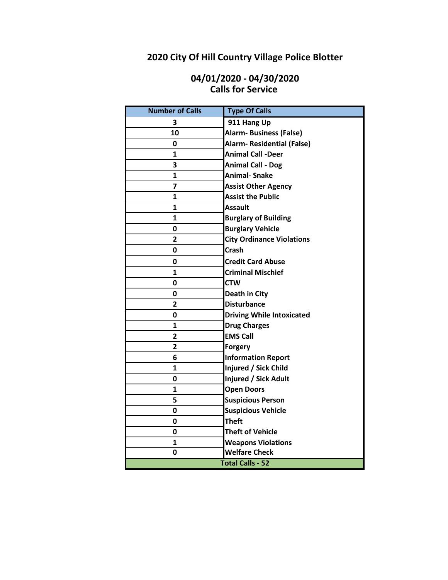# **2020 City Of Hill Country Village Police Blotter**

## **04/01/2020 - 04/30/2020 Calls for Service**

| <b>Number of Calls</b>  | <b>Type Of Calls</b>              |
|-------------------------|-----------------------------------|
| 3                       | 911 Hang Up                       |
| 10                      | <b>Alarm- Business (False)</b>    |
| 0                       | <b>Alarm- Residential (False)</b> |
| $\mathbf{1}$            | <b>Animal Call -Deer</b>          |
| 3                       | <b>Animal Call - Dog</b>          |
| 1                       | <b>Animal-Snake</b>               |
| $\overline{7}$          | <b>Assist Other Agency</b>        |
| 1                       | <b>Assist the Public</b>          |
| $\mathbf{1}$            | Assault                           |
| $\mathbf{1}$            | <b>Burglary of Building</b>       |
| 0                       | <b>Burglary Vehicle</b>           |
| $\mathbf{2}$            | <b>City Ordinance Violations</b>  |
| 0                       | <b>Crash</b>                      |
| 0                       | <b>Credit Card Abuse</b>          |
| $\mathbf{1}$            | <b>Criminal Mischief</b>          |
| 0                       | <b>CTW</b>                        |
| 0                       | Death in City                     |
| $\overline{2}$          | <b>Disturbance</b>                |
| 0                       | <b>Driving While Intoxicated</b>  |
| 1                       | <b>Drug Charges</b>               |
| $\mathbf{2}$            | <b>EMS Call</b>                   |
| $\overline{\mathbf{2}}$ | <b>Forgery</b>                    |
| 6                       | <b>Information Report</b>         |
| $\mathbf{1}$            | Injured / Sick Child              |
| 0                       | Injured / Sick Adult              |
| 1                       | <b>Open Doors</b>                 |
| 5                       | <b>Suspicious Person</b>          |
| 0                       | <b>Suspicious Vehicle</b>         |
| 0                       | <b>Theft</b>                      |
| 0                       | <b>Theft of Vehicle</b>           |
| 1                       | <b>Weapons Violations</b>         |
| 0                       | <b>Welfare Check</b>              |
| <b>Total Calls - 52</b> |                                   |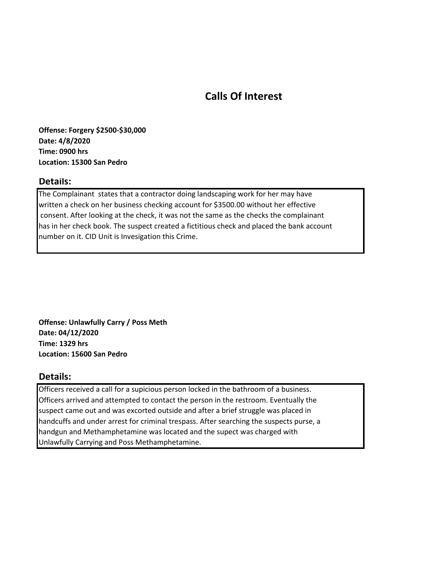# **Calls Of Interest**

**Offense: Forgery \$2500-\$30,000 Date: 4/8/2020 Time: 0900 hrs Location: 15300 San Pedro**

#### **Details:**

The Complainant states that a contractor doing landscaping work for her may have written a check on her business checking account for \$3500.00 without her effective consent. After looking at the check, it was not the same as the checks the complainant has in her check book. The suspect created a fictitious check and placed the bank account number on it. CID Unit is Invesigation this Crime.

**Offense: Unlawfully Carry / Poss Meth Date: 04/12/2020 Time: 1329 hrs Location: 15600 San Pedro**

#### **Details:**

Officers received a call for a supicious person locked in the bathroom of a business. Officers arrived and attempted to contact the person in the restroom. Eventually the suspect came out and was excorted outside and after a brief struggle was placed in handcuffs and under arrest for criminal trespass. After searching the suspects purse, a handgun and Methamphetamine was located and the supect was charged with Unlawfully Carrying and Poss Methamphetamine.